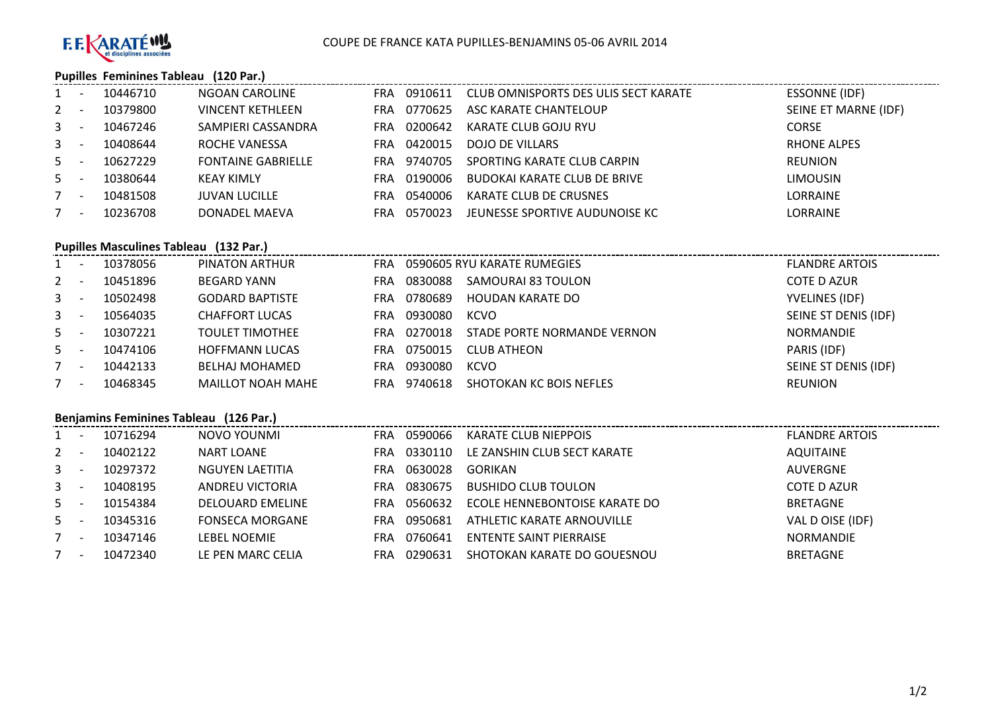

## **Pupilles Feminines Tableau (120 Par.)**

| $1 -$   | 10446710 | NGOAN CAROLINE            | <b>FRA</b> | 0910611 | CLUB OMNISPORTS DES ULIS SECT KARATE | <b>ESSONNE (IDF)</b> |
|---------|----------|---------------------------|------------|---------|--------------------------------------|----------------------|
| $2 -$   | 10379800 | VINCENT KETHLEEN          | <b>FRA</b> | 0770625 | ASC KARATE CHANTELOUP                | SEINE ET MARNE (IDF) |
| $3 - 5$ | 10467246 | SAMPIERI CASSANDRA        | FRA        | 0200642 | KARATE CLUB GOJU RYU                 | <b>CORSE</b>         |
| $3 - 1$ | 10408644 | ROCHE VANESSA             | <b>FRA</b> | 0420015 | DOJO DE VILLARS                      | RHONE ALPES          |
| $5 -$   | 10627229 | <b>FONTAINE GABRIELLE</b> | FRA        | 9740705 | SPORTING KARATE CLUB CARPIN          | <b>REUNION</b>       |
| $5 -$   | 10380644 | KEAY KIMLY                | <b>FRA</b> | 0190006 | <b>BUDOKAI KARATE CLUB DE BRIVE</b>  | <b>LIMOUSIN</b>      |
| $7 -$   | 10481508 | <b>JUVAN LUCILLE</b>      | FRA        | 0540006 | KARATE CLUB DE CRUSNES               | LORRAINE             |
| $7 -$   | 10236708 | DONADEL MAEVA             | FRA        | 0570023 | JEUNESSE SPORTIVE AUDUNOISE KC       | <b>LORRAINE</b>      |

## **Pupilles Masculines Tableau (132 Par.)**

| $1 -$   | 10378056 | PINATON ARTHUR           | <b>FRA</b> |         | 0590605 RYU KARATE RUMEGIES | <b>FLANDRE ARTOIS</b> |
|---------|----------|--------------------------|------------|---------|-----------------------------|-----------------------|
| $2 -$   | 10451896 | BEGARD YANN              | <b>FRA</b> | 0830088 | SAMOURAI 83 TOULON          | COTE D AZUR           |
| $3 - 1$ | 10502498 | <b>GODARD BAPTISTE</b>   | FRA.       | 0780689 | HOUDAN KARATE DO            | YVELINES (IDF)        |
| $3 - 1$ | 10564035 | <b>CHAFFORT LUCAS</b>    | <b>FRA</b> | 0930080 | <b>KCVO</b>                 | SEINE ST DENIS (IDF)  |
| $5 -$   | 10307221 | <b>TOULET TIMOTHEE</b>   | FRA        | 0270018 | STADE PORTE NORMANDE VERNON | <b>NORMANDIE</b>      |
| $5 -$   | 10474106 | <b>HOFFMANN LUCAS</b>    | FRA        | 0750015 | <b>CLUB ATHEON</b>          | PARIS (IDF)           |
| $7 -$   | 10442133 | <b>BELHAJ MOHAMED</b>    | <b>FRA</b> | 0930080 | KCVO                        | SEINE ST DENIS (IDF)  |
| $7 -$   | 10468345 | <b>MAILLOT NOAH MAHE</b> | FRA        | 9740618 | SHOTOKAN KC BOIS NEFLES     | REUNION               |

## **Benjamins Feminines Tableau (126 Par.)**

| $1 -$       |                          | 10716294 | NOVO YOUNMI             | FRA        | 0590066 | <b>KARATE CLUB NIEPPOIS</b>    | <b>FLANDRE ARTOIS</b> |
|-------------|--------------------------|----------|-------------------------|------------|---------|--------------------------------|-----------------------|
| $2 -$       |                          | 10402122 | <b>NART LOANE</b>       | FRA        | 0330110 | LE ZANSHIN CLUB SECT KARATE    | AQUITAINE             |
| $3^{\circ}$ | <b>.</b>                 | 10297372 | NGUYEN LAETITIA         | <b>FRA</b> | 0630028 | <b>GORIKAN</b>                 | AUVERGNE              |
| $3^{\circ}$ | <b>.</b>                 | 10408195 | ANDREU VICTORIA         | FRA        | 0830675 | <b>BUSHIDO CLUB TOULON</b>     | <b>COTE D AZUR</b>    |
| $5 -$       |                          | 10154384 | <b>DELOUARD EMELINE</b> | <b>FRA</b> | 0560632 | ECOLE HENNEBONTOISE KARATE DO  | <b>BRETAGNE</b>       |
| $5 -$       |                          | 10345316 | <b>FONSECA MORGANE</b>  | <b>FRA</b> | 0950681 | ATHLETIC KARATE ARNOUVILLE     | VAL D OISE (IDF)      |
|             | $\overline{\phantom{a}}$ | 10347146 | <b>LEBEL NOEMIE</b>     | FRA        | 0760641 | <b>ENTENTE SAINT PIERRAISE</b> | NORMANDIE             |
|             | <b>.</b>                 | 10472340 | LE PEN MARC CELIA       | FRA        | 0290631 | SHOTOKAN KARATE DO GOUESNOU    | <b>BRETAGNE</b>       |